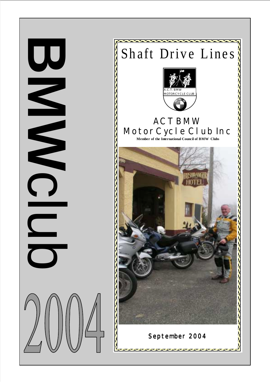

**BMW** C<br>C<br>C<br>C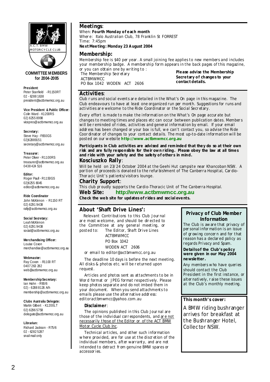

#### **COMMITTEE M EMBERS for 2004-2005**

**President**: Peter Stanfield - R1150RT 02 - 6288 1638 president@actbmwmcc.org.au

**Vice President & Public Officer:**  Colin Ward - K1200RS 02) 6255 8998 vicepres@actbmwmcc.org.au

**Secretary:**  Steve Hay - F650GS 02)62889151 secretary@actbmwmcc.org.au

**Treasurer:**  Peter Oliver - R1100RS treasurer@actbmwmcc.org.au 0438 424 516

**Editor:**  Roger Paull - R1150GS 02)6255 8045 editor@actbmwmcc.org.au

**Ride Coordinator** 

John McKinnon - R1150 RT 02) 6291 9438 rally@actbmwmcc.org.au

#### **Social Secretary:**

Leah McKinnon 02) 6291 9438 social@actbmwmcc.org.au

**Merchandising Officer:**  Louise Coxon

merchandise@actbmwmcc.org.au

**Webmaster:** Ray Coxon - R1100 RT 0407 263 282 web@actbmwmcc.org.au

**Membership Secretary:** 

Ian Hahn - R90/6 02) - 6288 8126 A/h membership@actbmwmcc.org.au

**Clubs Australia Delegate:**

Martin Gilbert - K1200LT 02) 6296 5758 delegate@actbmwmcc.org.au

**Librarian:** Richard Jackson - R75/6 02 - 6282 5287 snail mail only

#### **Meetings**:

When: **Fourth Monday of each month** 

Wher e: Italo Australian Club, 78 Franklin St FORREST Time: 7:45pm

**Next Meeting : Monday 23 August 2004** 

#### **Membership:**

Membership fee is \$40 per year . A small joining fee applies to new members and includes your membership badge. A membership form appears in the back pages of this magazine, or you can obtain one by writing to :

The Membership Secretary ACTBMWMCC PO Box 1042 WODEN ACT 2606 **Please advise the Membership Secretary of changes to your contact details.**

#### **Activities**:

Club r uns and social events ar e detailed in the *What's On* page in this magazine. The Club endeavours to have at least one organized run per month. Suggestions for runs and activities ar e welcome to the Ride Coordinator or the Social Secr etary.

Every effort is made to make the information on the *What's On* page accur ate but changes to meeting times and places etc can occur between publication dates. Member s will be reminded of rides, activities and general information by email. If your email addr ess has been changed or your box is full, we can't contact you, so advise the Ride Coor dinator of changes to your contact details. The most up-to-date information will be posted on our website **http://www.actbmwmcc.org .au** 

**Participants in Club activities are advised and reminded that they do so at their own risk and are fully responsible for their own riding . Please obey the law at all times and ride with your safety and the safety of others in mind.** 

#### **Kosciuszko Rally**:

Will be held on 23/24 October 2004 at the Geehi Hut campsite near Khancoban NSW. A por tion of proceeds is donated to the refur bishment of The Canberra Hospital, Car dio-Thor acic Unit's patients/visitors lounge.

#### **Charity Support**:

This club pr oudly supports the Cardio-Thoracic Unit of The Canberra Hospital.

**Web Site: http://www.actbmwmcc.org.au Check the web site for updates of rides and social events.**

#### **About 'Shaft Drive Lines':**

Relevant Contributions to this Club Jour nal ar e most welcome, and should be dir ected to the Committee at any general meeting, or posted to: The Editor, Shaft Drive Lines ACTBMWMCC PO Box 1042 WODEN ACT 2606

or email to *editor@actbmwmcc.org.au*

The deadline 10 days is before the next meeting. All disks & photos etc. will be r eturned upon request.

Articles and photos sent as attachments to be in Wor d format or JPEG format respectively. Please keep photos separate and do not imbed them in your document. When you send attachments to emails please use the alternative address: *editoractbmwmcc@yahoo.com.au* 

#### **Disclaimer**:

The opinions published in this Club Jour nal are those of the individual corr espondents, and ar e not necessarily those of the Editor or of the ACT BMW Motor Cycle Club Inc.

Technical articles, and other such information where provided, are for use at the discretion of the individual members, after warranty, and are not intended to detract fr om genuine BMW spares or accessor ies.

#### **Privacy of Club Member Information**

The Club is aware that privacy of per sonal infor mation is an issue of gr owing concer n and for that reason has a declar ed policy as regards *Privacy* and *Spam*.

**Details of the Club's policy were given in our May 2004 newsletter.** 

Any members who have queries should contact the Club President in the first instance, or alter natively, r aise these issues at the Club's monthly meeting.

#### **This month's cover:**

A BMW riding bushranger arrives for breakfast at the Bushranger Hotel, Collector NSW.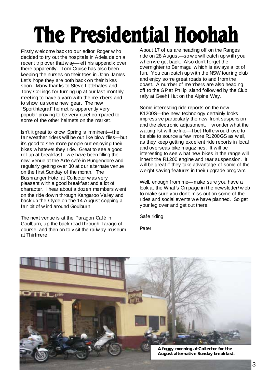# The Presidential Hoohah

Firstly w elcome back to our editor Roger w ho decided to try out the hospitals in Adelaide on a recent trip over that w ay—left his appendix over there apparently. Tom Cruise has also been keeping the nurses on their toes in John James. Let's hope they are both back on their bikes soon. Many thanks to Steve Littlehales and Tony Collings for turning up at our last monthly meeting to have a yarn w ith the members and to show us some new gear. The new "SportIntegral" helmet is apparently very popular proving to be very quiet compared to some of the other helmets on the market.

Isn't it great to know Spring is imminent—the fair weather riders will be out like blow flies—but it's good to see more people out enjoying their bikes w hatever they ride. Great to see a good roll up at breakfast—w e have been filling the new venue at the Arte café in Bungendore and regularly getting over 30 at our alternate venue on the first Sunday of the month. The Bushranger Hotel at Collector w as very pleasant w ith a good breakfast and a lot of character. I hear about a dozen members w ent on the ride dow n through Kangaroo Valley and back up the Clyde on the 14 August copping a fair bit of w ind around Goulburn.

The next venue is at the Paragon Café in Goulburn, up the back road through Tarago of course, and then on to visit the railw ay museum at Thirlmere.

About 17 of us are heading off on the Ranges ride on 28 August—so w e will catch up w ith you when we get back. Also don't forget the overnighter to Bermagui w hich is alw ays a lot of fun. You can catch up w ith the NSW touring club and enjoy some great roads to and from the coast. A number of members are also heading off to the GP at Philip Island follow ed by the Club rally at Geehi Hut on the Alpine Way.

Some interesting ride reports on the new K1200S—the new technology certainly looks impressive particularly the new front suspension and the electronic adjustment. I w onder what the waiting list w ill be like—I bet Rolfe w ould love to be able to source a few more R1200GS as w ell, as they keep getting excellent ride reports in local and overseas bike magazines. It w ill be interesting to see w hat new bikes in the range w ill inherit the R1200 engine and rear suspension. It will be great if they take advantage of some of the weight saving features in their upgrade program.

Well, enough from me—make sure you have a look at the What's On page in the newsletter/ w eb to make sure you don't miss out on some of the rides and social events w e have planned. So get your leg over and get out there.

Safe riding

**Peter** 

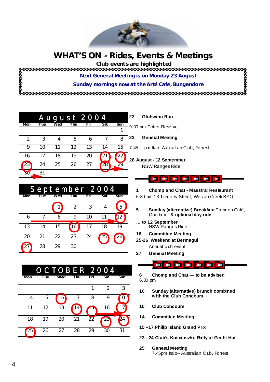

# **WHAT'S ON - Rides, Events & Meetings**

 **Club events are highlighted** 

**RANGER** 

**Next General Meeting is on Monday 23 August** 

**Sunday mornings now at the Arté Café, Bungendore** 

|             |     |     |     | August 2004 |                           |     | 22   | <b>Gluhwein Run</b>               |
|-------------|-----|-----|-----|-------------|---------------------------|-----|------|-----------------------------------|
| Mon         | Tue | Wed | Thu | Fri         | Sat                       | Sun |      | 9.30 am Cotter Reserve            |
|             | 3   | 4   | 5   | 6           |                           | 8   | 23   | <b>General Meeting</b>            |
| Q           | 10  | 11  | 12  | 13          | 14                        | 15  | 7.45 | pm Italo-Australian Club, Forrest |
| 16          |     | 18  | 19  | 20          | $\mathbf{2}^{\mathbf{c}}$ | 22  |      | -28 August - 12 September         |
| $\sqrt{23}$ | 24  | 25  | 26  | 27          | 28 <sup>°</sup>           | 79  |      | <b>NSW Ranges Ride</b>            |
| 30          | 31  |     |     |             |                           |     |      |                                   |

| September 2004 |     |     |     |     |     |     |  |
|----------------|-----|-----|-----|-----|-----|-----|--|
| Mon            | Tue | Wed | Thu | Fri | Sat | Sun |  |
|                |     |     |     |     |     |     |  |
| 6              |     | 8   |     | 10  |     |     |  |
| 13             | 14  | 15  | 16  |     | 18  | 19  |  |
| 20             | 21  | 22  | 23  | 24  | 25  |     |  |
|                | 28  | 29  | 30  |     |     |     |  |

|     |     | <b>OCTOBER 2004</b> |     |                |     |     |
|-----|-----|---------------------|-----|----------------|-----|-----|
| Mon | Tue | Wed                 | Thu | Fri            | Sat | Sun |
|     |     |                     |     |                | 2   | 3   |
|     | ҕ   |                     |     | Զ              | g   |     |
| 11  | 12  | 13                  | 4   |                | 16  |     |
| 18  | 19  | 20                  | 21  | $\mathfrak{D}$ | 23  |     |
| 25  | 26  | 27                  | 28  | 29             | 30  | 31  |
|     |     |                     |     |                |     |     |

### <u>- - - - - 1</u>

- **1 Chomp and Chat Maestral Restaurant**
- 6.30 pm 13 Trenerry Street, Weston Creek BYO
- 5 **Sunday (alternative) Breakfast Paragon Café,** Goulburn **& optional day ride**
- **… to 12 September**  NSW Ranges Ride
- **16 Committee Meeting**
- **25-26 Weekend at Bermagui** 
	- Annual dub event
- **27 General Meeting**

### <u> Foisc foi foi foi foi</u>

**6 Chomp and Chat — to be advised**  6.30 pm

- **10 Sunday (alternative) brunch combined with the Club Concours**
- **10 Club Concours**
- **14 Committee Meeting**
- **15 –17 Philip Island Grand Prix**
- **23 24 Club's Kosciuszko Rally at Geehi Hut**
- **25 General Meeting**  7.45pm Italo– Australian Club, Forrest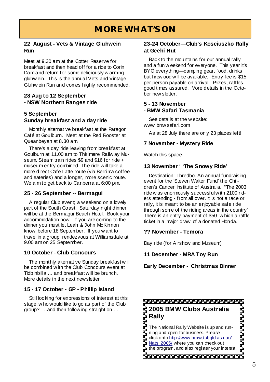#### **22 August - Vets & Vintage Gluhwein Run**

Meet at 9.30 am at the Cotter Reserve for breakfast and then head off for a ride to Corin Dam and return for some deliciously w arming gluhw ein. This is the annual Vets and Vintage Gluhw ein Run and comes highly recommended.

#### **28 Aug to 12 September - NSW Northern Ranges ride**

### **5 September Sunday breakfast and a day ride**

Monthly alternative breakfast at the Paragon Café at Goulburn. Meet at the Red Rooster at Queanbeyan at 8.30 am.

There's a day ride leaving from breakfast at Goulburn at 11.00 am to Thirlmere Railw ay Museum. Steam train rides \$9 and \$16 for ride + museum entry combined. The ride w ill take a more direct Cafe Latte route (via Berrima coffee and eateries) and a longer, more scenic route. We aim to get back to Canberra at 6:00 pm.

#### **25 - 26 September -- Bermagui**

A regular Club event; a w eekend on a lovely part of the South Coast. Saturday night dinner will be at the Bermagui Beach Hotel. Book your accommodation now . If you are coming to the dinner you must let Leah & John McKinnon know before 18 September. If you w ant to travel in a group, rendezvous at Williamsdale at 9.00 am on 25 September.

#### **10 October - Club Concours**

The monthly alternative Sunday breakfast w ill be combined w ith the Club Concours event at Tidbinbilla … and breakfast w ill be brunch. More details in the next newsletter

### **15 - 17 October - GP - Phillip Island**

Still looking for expressions of interest at this stage. w ho would like to go as part of the Club

#### **23-24 October—Club's Kosciuszko Rally at Geehi Hut**

Back to the mountains for our annual rally and a fun w eekend for everyone. This year it's BYO everything—camping gear, food, drinks but firew ood will be available. Entry fee is \$15 per person payable on arrival. Prizes, raffles, good times assured. More details in the October new sletter.

#### **5 - 13 November - BMW Safari Tasmania**

See details at the w ebsite: www.bmw safari.com

As at 28 July there are only 23 places left!

#### **7 November - Mystery Ride**

Watch this space.

#### **13 November ' 'The Snowy Ride'**

Destination: Thredbo. An annual fundraising event for the 'Steven Walter Fund' the Children's Cancer Institute of Australia. "The 2003 ride w as enormously successful w ith 2100 riders attending - from all over. It is not a race or rally, it is meant to be an enjoyable safe ride through some of the riding areas in the country" There is an entry payment of \$50- w hich a raffle ticket in a major draw of a donated Honda.

#### **?? November - Temora**

Day ride (for Airshow and Museum)

#### **11 December - MRA Toy Run**

**Early December - Christmas Dinner** 

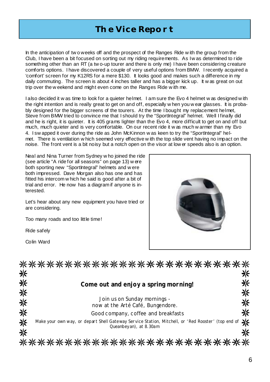# **The Vice Report**

In the anticipation of tw o weeks off and the prospect of the Ranges Ride w ith the group from the Club, I have been a bit focused on sorting out my riding requirements. As I w as determined to ride something other than an RT (a tw o-up tourer and there is only me) I have been considering creature comforts options. I have discovered a couple of very useful options from BMW. I recently acquired a 'comfort' screen for my K12RS for a mere \$130. It looks good and makes such a difference in my daily commuting. The screen is about 4 inches taller and has a bigger kick up. It was great on out trip over the w eekend and might even come on the Ranges Ride w ith me.

I also decided it w as time to look for a quieter helmet. I am sure the Evo 4 helmet w as designed w ith the right intention and is really great to get on and off, especially w hen you w ear glasses. It is probably designed for the bigger screens of the tourers. At the time I bought my replacement helmet, Steve from BMW tried to convince me that I should try the "SportIntegral" helmet. Well I finally did and he is right, it is quieter. It is 405 grams lighter than the Evo 4, more difficult to get on and off but much, much quieter and is very comfortable. On our recent ride it w as much w armer than my Evo 4. I sw apped it over during the ride as John McKinnon w as keen to try the "SportIntegral" helmet. There is ventilation w hich seemed very effective w ith the top slide vent having no impact on the noise. The front vent is a bit noisy but a notch open on the visor at low er speeds also is an option.

Neal and Nina Turner from Sydney w ho joined the ride (see article "A ride for all seasons" on page 13) w ere both sporting new "SportIntegral" helmets and w ere both impressed. Dave Morgan also has one and has fitted his intercom w hich he said is good after a bit of trial and error. He now has a diagram if anyone is interested.

Let's hear about any new equipment you have tried or are considering.

Too many roads and too little time!

Ride safely

Colin Ward



|        | ***********************                                                                                                       |        |
|--------|-------------------------------------------------------------------------------------------------------------------------------|--------|
| 米      |                                                                                                                               | 米      |
| 米      | Come out and enjoy a spring morning!                                                                                          | ⋇      |
| 米<br>※ | Join us on Sunday mornings -<br>now at the Arté Café, Bungendore.                                                             | 米<br>米 |
| 米      | Good company, coffee and breakfasts                                                                                           | 米      |
| ※      | Make your own way, or depart Shell Gateway Service Station, Mitchell, or 'Red Rooster' (top end of<br>Queanbey an), at 8.30am |        |
| ※      |                                                                                                                               |        |
|        | 米米米米米米米米米米米米米米米米米米                                                                                                            |        |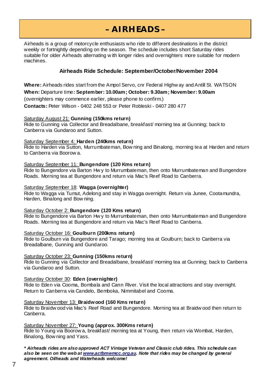# **– AIRHEADS –**

Airheads is a group of motorcycle enthusiasts who ride to different destinations in the district weekly or fortnightly depending on the season. The schedule includes short Saturday rides suitable for older Airheads alternating w ith longer rides and overnighters more suitable for modern machines.

#### **Airheads Ride Schedule: September/October/November 2004**

**Where:** Airheads rides start from the Ampol Servo, cnr Federal Highw ay and Antill St. WATSON

**When:** Departure time**: September: 10.00am; October: 9.30am; November: 9.00am**

(overnighters may commence earlier, please phone to confirm.)

**Contacts:** Peter Wilson - 0402 248 553 or Peter Robleski - 0407 280 477

#### Saturday August 21: **Gunning (150kms return)**

Ride to Gunning via Collector and Breadalbane, breakfast/ morning tea at Gunning; back to Canberra via Gundaroo and Sutton.

#### Saturday September 4: **Harden (240kms return)**

Ride to Harden via Sutton, Murrumbateman, Bow ning and Binalong, morning tea at Harden and return to Canberra via Boorow a.

#### Saturday September 11: **Bungendore (120 Kms return)**

Ride to Bungendore via Barton Hw y to Murrumbateman, then onto Murrumbateman and Bungendore Roads. Morning tea at Bungendore and return via Mac's Reef Road to Canberra.

#### Saturday September 18: **Wagga (overnighter)**

Ride to Wagga via Tumut, Adelong and stay in Wagga overnight. Return via Junee, Cootamundra, Harden, Binalong and Bow ning.

#### Saturday October 2: **Bungendore (120 Kms return)**

Ride to Bungendore via Barton Hw y to Murrumbateman, then onto Murrumbateman and Bungendore Roads. Morning tea at Bungendore and return via Mac's Reef Road to Canberra.

#### Saturday October 16: **Goulburn (200kms return)**

Ride to Goulburn via Bungendore and Tarago; morning tea at Goulburn; back to Canberra via Breadalbane, Gunning and Gundaroo.

#### Saturday October 23: **Gunning (150kms return)**

Ride to Gunning via Collector and Breadalbane, breakfast/ morning tea at Gunning; back to Canberra via Gundaroo and Sutton.

#### Saturday October 30: **Eden (overnighter)**

Ride to Eden via Cooma, Bombala and Cann River. Visit the local attractions and stay overnight. Return to Canberra via Candelo, Bemboka, Nimmitabel and Cooma.

#### Saturday November 13: **Braidwood (160 Kms return)**

Ride to Braidw ood via Mac's Reef Road and Bungendore. Morning tea at Braidw ood then return to Canberra.

#### Saturday November 27: **Young (approx. 300Kms return)**

Ride to Young via Boorow a, breakfast/ morning tea at Young, then return via Wombat, Harden, Binalong, Bow ning and Yass.

*\* Airheads rides are also approved ACT Vintage Veteran and Classic club rides. This schedule can also be seen on the web at www.actbmwmcc.org.au. Note that rides may be changed by general agreement. Oilheads and Waterheads welcome!*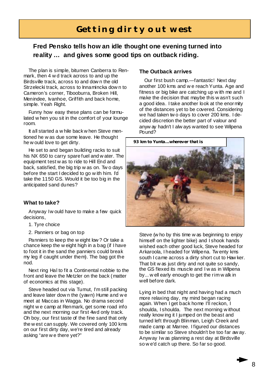# **Getting dirty out west**

### **Fred Pensko tells how an idle thought one evening turned into reality … and gives some good tips on outback riding.**

The plan is simple, bitumen Canberra to Renmark, then 4 w d track across to and up the Birdsville track, across to and dow n the old Strzelecki track, across to Innamincka dow n to Cameron's corner, Tibooburra, Broken Hill, Menindee, Ivanhoe, Griffith and back home, simple. Yeah Right.

Funny how easy these plans can be formulated w hen you sit in the comfort of your lounge room.

It all started a w hile back w hen Steve mentioned he w as due some leave. He thought he w ould love to get dirty.

He set to and began building racks to suit his NX 650 to carry spare fuel and w ater. The equipment test w as to ride to Hill End and back, satisfied, the big trip w as on. Tw o days before the start I decided to go with him. I'd take the 1150 GS. Would it be too big in the anticipated sand dunes?

#### **What to take?**

Anyway I w ould have to make a few quick decisions,

- 1. Tyre choice
- 2. Panniers or bag on top

Panniers to keep the w eight low ? Or take a chance keep the w eight high in a bag (if I have to foot it in the sand the panniers could break my leg if caught under them). The bag got the nod.

Next ring Hal to fit a Continental nobbie to the front and leave the Metzler on the back (matter of economics at this stage).

Steve headed out via Tumut, I'm still packing and leave later dow n the (yawn) Hume and w e meet at Maccas in Wagga. No drama second night w e camp at Renmark, get some road info and the next morning our first 4wd only track. Oh boy, our first taste of the fine sand that only the w est can supply. We covered only 100 kms on our first dirty day, we're tired and already asking "are w e there yet?"

#### **The Outback arrives**

Our first bush camp.—fantastic! Next day another 100 kms and w e reach Yunta. Age and fitness or big bike are catching up w ith me and I make the decision that maybe this w asn't such a good idea. I take another look at the enormity of the distances yet to be covered. Considering we had taken tw o days to cover 200 kms. I decided discretion the better part of valour and anyw ay hadn't I alw ays wanted to see Wilpena Pound?



Steve (w ho by this time w as beginning to enjoy himself on the lighter bike) and I shook hands wished each other good luck, Steve headed for Arkaroola, I headed for Wilpena. Tw enty kms south I came across a dirty short cut to Haw ker. That bit w as just dirty and not quite so sandy, the GS flexed its muscle and I w as in Wilpena by... w ell early enough to get the rim w alk in well before dark.

Lying in bed that night and having had a much more relaxing day, my mind began racing again. When I get back home I'll reckon, I shoulda, I shoulda. The next morning w ithout really know ing it I jumped on the beast and turned left through Blinman, Leigh Creek and made camp at Marree. I figured our distances to be similar so Steve shouldn't be too far aw ay. Anyway Iw as planning a rest day at Birdsville so w e'd catch up there. So far so good.

8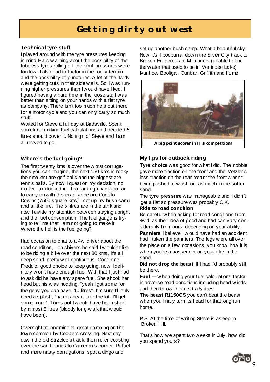# **Getting dirty out west**

### **Technical tyre stuff**

I played around w ith the tyre pressures keeping in mind Hal's w arning about the possibility of the tubeless tyres rolling off the rim if pressures were too low . I also had to factor in the rocky terrain and the possibility of punctures. A lot of the 4w ds were getting cuts in their side w alls. So I w as running higher pressures than I w ould have liked. I figured having a hard time in the loose stuff was better than sitting on your hands w ith a flat tyre as company. There isn't too much help out there for a motor cycle and you can only carry so much stuff.

Waited for Steve a full day at Birdsville. Spent sometime making fuel calculations and decided *5*  litres should cover it. No sign of Steve and I am all revved to go.

### **Where's the fuel going?**

The first tw enty kms is over the w orst corrugations you can imagine, the next 150 kms is rocky the smallest are golf balls and the biggest are tennis balls. By now I question my decision, no matter I am locked in. Too far to go back too far to carry on with this crap so before Cordillo Dow ns (7500 square kms) I set up my bush camp and a little fire. The *5* litres are in the tank and now I divide my attention betw een staying upright and the fuel consumption. The fuel gauge is trying to tell me that I am not going to make it. Where the hell is the fuel going?

Had occasion to chat to a 4w driver about the road condition, - oh shivers he said I w ouldn't like to be riding a bike over the next 80 kms, it's all deep sand, pretty w ell continuous. Good one Freddie, good choice to keep going, now I definitely w on't have enough fuel. With that I just had to ask did he have any spare fuel. She shook her head but his w as nodding, "yeah I got some for the geny you can have, 10 litres". I'm sure I'll only need a splash, "na go ahead take the lot, I'll get some more". Turns out I w ould have been short by almost 5 litres (bloody long w alk that w ould have been).

Overnight at Innamincka, great camping on the tow n common by Coopers crossing. Next day dow n the old Strzelecki track, then roller coasting over the sand dunes to Cameron's corner. Refuel and more nasty corrugations, spot a dingo and

set up another bush camp. What a beautiful sky. Now it's Tibooburra, dow n the Silver City track to Broken Hill across to Menindee, (unable to find the w ater that used to be in Menindee Lake) Ivanhoe, Booligal, Gunbar, Griffith and home.



### **My tips for outback riding**

**Tyre choice** was good for what I did. The nobbie gave more traction on the front and the Metzler's less traction on the rear meant the front w asn't being pushed to w ash out as much in the softer sand.

The **tyre pressure** was manageable and I didn't get a flat so pressure was probably O.K.

#### **Ride to road condition**

Be careful w hen asking for road conditions from 4w d as their idea of good and bad can vary considerably from ours, depending on your ability.

**Panniers** I believe I w ould have had an accident had I taken the panniers. The legs w ere all over the place on a few occasions, you know how it is when you're a passenger on your bike in the sand.

**Did not drop the beast,** If I had I'd probably still be there.

**Fuel —** w hen doing your fuel calculations factor in adverse road conditions including head w inds and then throw in an extra 5 litres

**The beast R1150GS** you can't beat the beast when you finally turn its head for that long run home.

P.S. At the time of writing Steve is asleep in Broken Hill.

That's how we spent two w eeks in July, how did you spend yours?

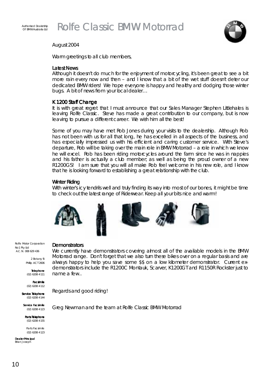



#### August 2004

Warm greetings to all club members,

#### *Latest News*

Although it doesn't do much for the enjoyment of motorcycling, it's been great to see a bit more rain every now and then – and I know that a bit of the wet stuff doesn't deter our dedicated BMW riders! We hope everyone is happy and healthy and dodging those winter bugs. A bit of news from your local dealer...

#### K 1200 Staff Change

It is with great regret that I must announce that our Sales Manager Stephen Littlehales is leaving Rolfe Classic. Steve has made a great contribution to our company, but is now leaving to pursue a different career. We wish him all the best!

Some of you may have met Rob Jones during your visits to the dealership. Although Rob has not been with us for all that long, he has excelled in all aspects of the business, and has especially impressed us with his efficient and caring customer service. With Steve's departure, Rob will be taking over the main role in BMW Motorrad – a role in which we know he will excel. Rob has been riding motorcycles around the farm since he was in nappies and his father is actually a club member; as well as being the proud owner of a new R1200GS! I am sure that you will all make Rob feel welcome in his new role, and I know that he is looking forward to establishing a great relationship with the club.

#### Winter Riding

With winter's icy tendrils well and truly finding its way into most of our bones, it might be time to check out the latest range of Riderwear. Keep all your bits nice and warm!



Rolfe Motor Corporation No1 Pty Ltd A.C.N. 008 629 436

> 2 Botany St Phillip ACT 2606

Telephone Telephone (02) 6208 4111

Facsimile Facsimile (02) 6208 4112

Service Telephone (02) 6208 4144

Service Facsimile (02) 6208 4123

Parts Telephone (02) 6208 4155

Parts Facsimile (02) 6208 4123

Dealer Principal Brian Joseph

#### **Demonstrators**

We currently have demonstrators covering almost all of the available models in the BMW Motorrad range. Don't forget that we also turn these bikes over on a regular basis and are always happy to help you save some \$\$ on a low kilometer demonstrator. Current exdemonstrators include the R1200C Montauk, Scarver, K1200GT and R1150R Rockster just to name a few..

Regards and good riding!

Greg Newman and the team at Rolfe Classic BMW Motorrad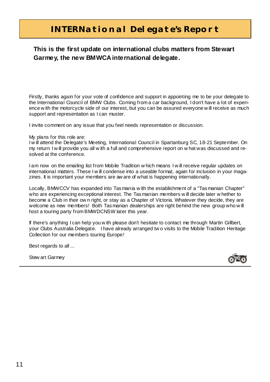# **INTERNational Delegate's Report**

### **This is the first update on international clubs matters from Stewart Garmey, the new BMWCA international delegate.**

Firstly, thanks again for your vote of confidence and support in appointing me to be your delegate to the International Council of BMW Clubs. Coming from a car background, I don't have a lot of experience w ith the motorcycle side of our interest, but you can be assured everyone w ill receive as much support and representation as I can muster.

I invite comment on any issue that you feel needs representation or discussion.

My plans for this role are:

I w ill attend the Delegate's Meeting, International Council in Spartanburg SC, 18-21 September. On my return I w ill provide you all w ith a full and comprehensive report on w hat was discussed and resolved at the conference.

I am now on the emailing list from Mobile Tradition w hich means I w ill receive regular updates on international matters. These I w ill condense into a useable format, again for inclusion in your magazines. It is important your members are aw are of what is happening internationally.

Locally, BMWCCV has expanded into Tasmania w ith the establishment of a "Tasmanian Chapter" who are experiencing exceptional interest. The Tasmanian members w ill decide later w hether to become a Club in their ow n right, or stay as a Chapter of Victoria. Whatever they decide, they are welcome as new members! Both Tasmanian dealerships are right behind the new group who w ill host a touring party from BMWDCNSW later this year.

If there's anything I can help you w ith please don't hesitate to contact me through Martin Gillbert, your Clubs Australia Delegate. I have already arranged tw o visits to the Mobile Tradition Heritage Collection for our members touring Europe!

Best regards to all ...

Stew art Garmey

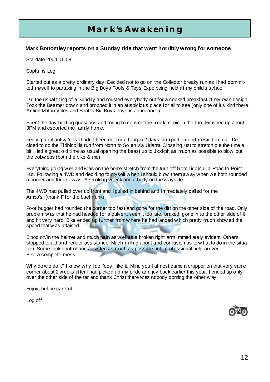# **Mark's Awakening**

#### **Mark Bottomley reports on a Sunday ride that went horribly wrong for someone**

Stardate 2004.01.08

Captains Log

Started out as a pretty ordinary day. Decided not to go on the Collector breaky run as I had committed myself to partaking in the Big Boys Tools & Toys Expo being held at my child's school.

Did the usual thing of a Sunday and rousted everybody out for a cooked breakfast of my ow n design. Took the Beemer dow n and propped it in an auspicious place for all to see (only one of it's kind there, Action Motorcycles and Scott's Big Boys Toys in abundance).

Spent the day fielding questions and trying to convert the meek to join in the fun. Finished up about 3PM and escorted the family home.

Feeling a bit antsy 'cos I hadn't been out for a fang in 2 days. Jumped on and mosied on out. Decided to do the Tidbinbilla run from North to South via Uriarra Crossing just to stretch out the time a bit. Had a great old time as usual opening the beast up to 1xxkph as much as possible to blow out the cobw ebs (both the bike & me).

Everything going w ell and w as on the home stretch from the turn off from Tidbinbilla Road to Point Hut. Follow ing a 4WD and deciding to myself w hen I should blow them aw ay when we both rounded a corner and there it w as. A smoking wreck and a body on the w ayside.

The 4WD had pulled over up front and I pulled in behind and immediately called for the Ambo's (thank F for the baehr unit).

Poor bugger had rounded the corner too fast and gone for the dirt on the other side of the road. Only problem w as that he had headed for a culvert, seen it too late, braked, gone in to the other side of it and hit very hard. Bike ended up further from w here he had landed w hich pretty much show ed the speed that w as attained.

Blood on/in the helmet and much pain as w ell as a broken right arm immediately evident. Others stopped to aid and render assistance. Much milling about and confusion as to w hat to do in the situation. Some took control and assisted as much as possible until professional help arrived. Bike a complete mess.

Why do w e do it? I know why I do, 'cos I like it. Mind you I almost came a cropper on that very same corner about 2 w eeks after I had picked up my pride and joy back earlier this year. I ended up only over the other side of the tar and thank Christ there w as nobody coming the other w ay!

Enjoy, but be careful.

Log off.

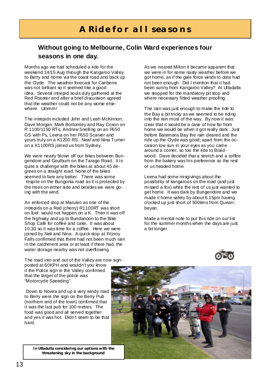# **A Ride for all seasons**

### **Without going to Melbourne, Colin Ward experiences four seasons in one day.**

Months ago we had scheduled a ride for the weekend 14/15 Aug through the Kangaroo Valley to Berry and home via the coast road and back up the Clyde. The weather forecast for Canberra was not brilliant so it seemed like a good idea. Several intrepid souls duly gathered at the Red Rooster and after a brief discussion agreed that the weather could not be any worse elsewhere. Ummm!

The intrepids included John and Leah McKinnon, Dave Morgan, Mark Bottomley and Ray Coxon on R 1100/1150 RTs, Andrew Snelling on an F650 GS with Ps, Leena on her F650 Scarver and yours truly on a K1200 RS. Neal and Nina Turner on a K1100RS joined us from Sydney.

We were nearly blown off our bikes between Bungendore and Goulburn on the Tarago Road. It is quite a challenge with the bikes at about 45 degrees on a straight road. None of the bikes seemed to fare any better. There was some respite on the Bungonia road as it is protected by the trees on either side and besides we were going with the wind.

An enforced stop at Marulen as one of the intrepids on a Red (cherry) R1100RT was short on fuel: would not happen on a K. Then it was off the highway and up to Bundanoon to the Bike Shop Café for coffee and cake. It was about 10.30 so it was time for a coffee. Here we were joined by Neil and Nina. A quick stop at Fitzroy Falls confirmed that there had not been much rain in the catchment area or at least if there had, the water storage nearby was not overflowing.

As we neared Milton it became apparent that we were in for some nasty weather before we got home, as if the gale force winds to date had not been enough. Did I mention that it had been sunny from Kangaroo Valley? At Ulladalla we stopped for the mandatory pit stop and where necessary fitted weather proofing.

The rain was just enough to make the ride to the Bay a bit tricky as we seemed to be riding into the rain most of the way. By now it was clear that it would be a case of how far from home we would be when it got really dark. Just before Batemans Bay the rain deared and the ride up the Clyde was good; apart from the occasion low sun in your eyes as you came around a corner, so too the ride to Braidwood. Dave decided that a stretch and a coffee from the bakery was his preference so the rest of us headed home.

Leena had some misgivings about the possibility of kangaroos on the road (and just missed a fox) while the rest of us just wanted to get home. It was dark by Bungendore and we made it home safely by about 6.15pm having clocked up just short of 500kms from Queanbeyan.

Made a mental note to put this ride on our list for the summer months when the days are just a bit longer.



The road into and out of the Valley are now signposted at 60KPH and wouldn't you know it the Police sign in the Valley confirmed that the target of the police was "Motorcyde Speeding".

 Down to Nowra and up a very windy road to Berry were the sign on the Berry Pub (northern end of the town) confirmed that it was the last pub for 100 metres. The food was good and all served together and yes it was hot. Didn't seem to be that hard.

**In Ulladulla considering our options with the threatening sky in the background**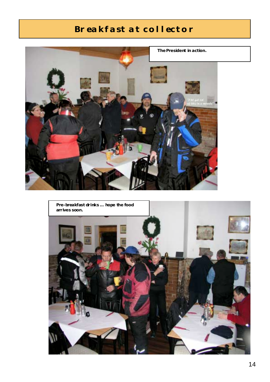# **Breakfast at collector**



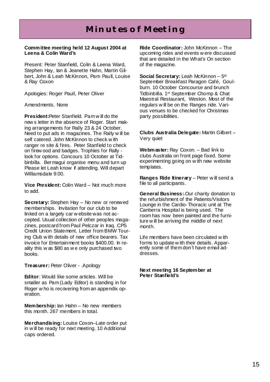#### **Committee meeting held 12 August 2004 at Leena & Colin Ward's**

Present: Peter Stanfield, Colin & Leena Ward, Stephen Hay, Ian & Jeanette Hahn, Martin Gilbert, John & Leah McKinnon, Pam Paull, Louise & Ray Coxon

Apologies: Roger Paull, Peter Oliver

Amendments. None

**President:**Peter Stanfield. Pam w ill do the new s letter in the absence of Roger. Start making arrangements for Rally 23 & 24 October. Need to put ads in magazines. The Rally w ill be self catered. John McKinnon to check with ranger re site & fires. Peter Stanfield to check on firew ood and badges. Trophies for Rally look for options. Concours 10 October at Tidbinbilla. Bermagui organise menu and turn up Please let Leah know if attending. Will depart Williamsdale 9:00.

**Vice President:** Colin Ward – Not much more to add.

**Secretary:** Stephen Hay – No new or renewed memberships. Invitation for our club to be linked on a largely car w ebsite was not accepted. Usual collection of other peoples magazines, postcard from Paul Pelczar in Iraq. CPS Credit Union Statement. Letter from BMW Touring Club w ith details of new office bearers. Tax invoice for Entertainment books \$400.00. In reality this w as \$80 as w e only purchased two books.

**Treasurer:** Peter Oliver - .Apology

**Editor**: Would like some articles. Will be smaller as Pam (Lady Editor) is standing in for Roger w ho is recovering from an appendix operation.

**Membership:** Ian Hahn – No new members this month. 267 members in total.

**Merchandising:** Louise Coxon–Late order put in w ill be ready for next meeting. 10 Additional caps ordered.

**Ride Coordinator:** John McKinnon – The upcoming rides and events w ere discussed that are detailed in the What's On section of the magazine.

**Social Secretary:** Leah McKinnon – 5th September Breakfast Paragon Café, Goulburn. 10 October Concourse and brunch Tidbinbilla. 1st September Chomp & Chat Maestral Restaurant, Weston. Most of the regulars w ill be on the Ranges ride. Various venues to be checked for Christmas party possibilities.

**Clubs Australia Delegate:** Martin Gilbert – Very quiet

**Webmaster:** Ray Coxon. – Bad link to clubs Australia on front page fixed. Some experimenting going on w ith new website templates.

**Ranges Ride Itinerary** – Peter will send a file to all participants.

**General Business:**.Our charity donation to the refurbishment of the Patients/Visitors Lounge in the Cardio-Thoracic unit at The Canberra Hospital is being used. The room has now been painted and the furniture w ill be arriving the middle of next month.

Life members have been circulated w ith forms to update w ith their details. Apparently some of them don't have email addresses.

**Next meeting 16 September at Peter Stanfield's**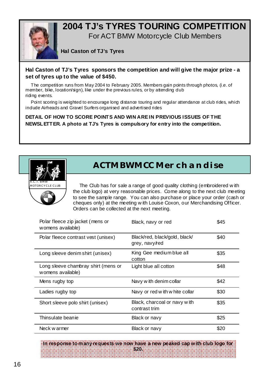

### **2004 TJ's TYRES TOURING COMPETITION**  For ACT BMW Motorcycle Club Members

### **Hal Caston of TJ's Tyres**

#### **Hal Caston of TJ's Tyres sponsors the competition and will give the major prize - a set of tyres up to the value of \$450.**

The competition runs from May 2004 to February 2005. Members gain points through photos, (i.e. of member, bike, location/sign), like under the previous rules, or by attending dub riding events.

Point scoring is weighted to encourage long distance touring and regular attendance at club rides, which include Airheads and Gravel Surfers organised and advertised rides

#### **DETAIL OF HOW TO SCORE POINTS AND WIN ARE IN PREVIOUS ISSUES OF THE NEWSLETTER. A photo at TJ's Tyres is compulsory for entry into the competition.**



# **ACTMBWMCC Merchandise**

 The Club has for sale a range of good quality clothing (embroidered w ith the club logo) at very reasonable prices. Come along to the next club meeting to see the sample range. You can also purchase or place your order (cash or cheques only) at the meeting w ith Louise Coxon, our Merchandising Officer. Orders can be collected at the next meeting.

| Polar fleece zip jacket (mens or<br>womens available)    | Black, navy or red                              | \$45 |
|----------------------------------------------------------|-------------------------------------------------|------|
| Polar fleece contrast vest (unisex)                      | Black/red, black/gold, black/<br>grey, navy/red | \$40 |
| Long sleeve denim shirt (unisex)                         | King Gee medium blue all<br>cotton              | \$35 |
| Long sleeve chambray shirt (mens or<br>womens available) | Light blue all cotton                           | \$48 |
| Mens rugby top                                           | Navy with denim collar                          | \$42 |
| Ladies rugby top                                         | Navy or red with w hite collar                  | \$30 |
| Short sleeve polo shirt (unisex)                         | Black, charcoal or navy with<br>contrast trim   | \$35 |
| Thinsulate beanie                                        | Black or navy                                   | \$25 |
| Neck w armer                                             | Black or navy                                   | \$20 |

**In response to many requests we now have a new peaked cap with club logo for \$20.**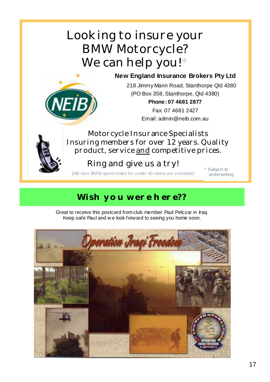# Looking to insure your BMW Motorcycle? We can help you!\*

### **New England Insurance Brokers Pty Ltd**



218 Jimmy Mann Road, Stanthorpe Qld 4380 (PO Box 358, Stanthorpe, Qld 4380)

> **Phone: 07 4681 2877**  Fax: 07 4681 2427 Email: admin@neib.com.au

Motorcycle Insurance Specialists Insuring members for over  $12$  years. Quality product, service and competitive prices.

# Ring and give us a try!

(NB Non BMW sports bikes for under 40 riders are excluded)  $*$  Subject to

underwriting

# **Wish you were here??**

Great to receive this postcard from club member Paul Pelczar in Iraq. Keep safe Paul and w e look forward to seeing you home soon.

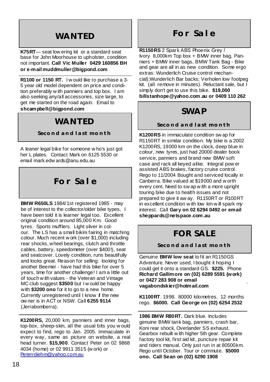### **WANTED**

**K75RT**— seat low ering kit or a standard seat base for John Moorhouse to upholster, condition not important. **Call Vic Muller 0429 160856 BH or e-mail muddmuller@bigpond.com** 

**R1100 or 1150 RT.** I w ould like to purchase a 3- 5 year old model dependent on price and condition preferably w ith panniers and top box. I am also seeking any/all accessories, size large, to get me started on the road again. Email to **shcampbell@bigpond.com**

# **WANTED**

#### **Second and last month**

A leaner legal bike for someone w ho's just got her L plates. Contact Mark on 6125 5530 or email mark.edw ards@anu.edu.au

# **For Sale**

**BMW R650LS** 1984/1st registered 1985 - may be of interest to the collector/older bike types. I have been told it is learner legal too. Excellent original condition around 85,000 Km. Good tyres. Sports mufflers. Light silver in colour. The LS has a small bikini fairing in matching colour. Much recent w ork (over \$1,000) including rear shocks, wheel bearings, clutch and throttle cables, battery, speedometer (over \$400!), seat and seatcover. Lovely condition, runs beautifully and looks great. Reason for selling: looking for another Beemer - have had this bike for over 5 years, time for another challenge! I am a little out of touch w ith values - the Veteran and Vintage MC club suggest **\$3500** but I w ould be happy with **\$3200 ono** for it to go to a new home. Currently unregistered until I know if the new ow ner is in ACT or NSW. Call **6255 9114**  (Jerrabomberra).

**K1200RS,** 20,000 km, panniers and inner bags, top-box, sheep-skin, all the usual bits you w ould expect to find, rego to Jan. 2005. Immaculate in every way, same as picture on website, a real head turner. **\$15,900**. Contact Peter on 02 9868 4034 (home) or 02 9911 3515 (w ork) or Peterrdiehm@yahoo.com.au

### **For Sale**

**R1150RS** 2 Spark ABS Phoenix Grey / Ivory 8,000km Top box + BMW inner bag, Panniers + BMW inner bags, BMW Tank Bag - Bike and gear are all in as new condition. Some ergo extras: Wunderlich Cruise control mechancial);Wunderlich Bar backs; Verholen low footpeg kit. (all remove in minutes). Reluctant sale, but I simply don't get to use this bike. **\$19,000 billstanhope@yahoo.com.au or 0409 110 262** 

### **SWAP**

### **Second and last month**

**K1200RS** in immaculate condition sw ap for R1150RT in similar condition. My bike is a 2002 K1200RS, 19000 km on the clock, deep blue in colour, new tyres, just had 20000 dealer book service, panniers and brand new BMW soft case and rack all keyed alike. Integral pow er assisted ABS brakes, factory cruise control. Rego to 11/2004 Bought and serviced locally in Canberra. Bike valued at \$19000 and w orth every cent. Need to sw ap w ith a more upright touring bike due to health issues and not prepared to give it aw ay. R1150RT or R100RT in excellent condition w ith low km w ill spark my interest. Call **Gary on 02 6294 0492 or email sheppards@netspace.com.au** 

# **FOR SALE**

**Second and last month**

Genuine **BMW low seat** to fit an R1150GS Adventure. Never used, I bought it hoping I could get it onto a standard GS. **\$225.** Phone **Richard Gallimore on (02) 6289 5591 (work) or 0427 283 908 or email vagabondskier@hotmail.com** 

**K1100RT**. 1998. 80000 kilometres. 12 months rego. **\$6000. Call George on (02) 6254 2532**

**1986 BMW R80RT.** Dark blue. Includes genuine BMW tank bag, panniers, crash bar, Koni rear shock, Overlander SS exhaust. Gearbox rebuilt w ith higher 5th gear. Complete factory tool kit, first aid kit, puncture repair kit and riders manual. Only just run in at 80500km. Rego until October. Tour or commute. **\$5000 ono. Call Sean on (02) 6290 1908**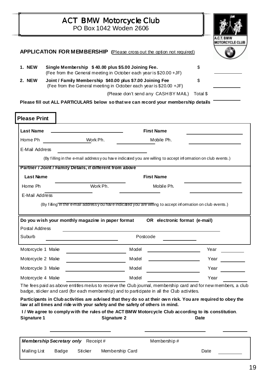|                     |                                                                                                                                       |                                           | <b>ACT BMW Motorcycle Club</b><br>PO Box 1042 Woden 2606                     |                                                                                                                                                                                                                |          |      |  |  |  |
|---------------------|---------------------------------------------------------------------------------------------------------------------------------------|-------------------------------------------|------------------------------------------------------------------------------|----------------------------------------------------------------------------------------------------------------------------------------------------------------------------------------------------------------|----------|------|--|--|--|
|                     | <b>MOTORCYCLE CLUB</b><br>APPLICATION FOR MEMBERSHIP (Please cross out the option not required)                                       |                                           |                                                                              |                                                                                                                                                                                                                |          |      |  |  |  |
| 1. NEW              | Single Membership \$40.00 plus \$5.00 Joining Fee.<br>\$<br>(Fee from the General meeting in October each year is \$20.00 +JF)        |                                           |                                                                              |                                                                                                                                                                                                                |          |      |  |  |  |
| 2. NEW              | Joint / Family Membership \$40.00 plus \$7.00 Joining Fee<br>\$<br>(Fee from the General meeting in October each year is \$20.00 +JF) |                                           |                                                                              |                                                                                                                                                                                                                |          |      |  |  |  |
|                     |                                                                                                                                       |                                           |                                                                              | (Please don't send any CASHBY MAIL)<br>Please fill out ALL PARTICULARS below so that we can record your membership details                                                                                     | Total \$ |      |  |  |  |
| <b>Please Print</b> |                                                                                                                                       |                                           |                                                                              |                                                                                                                                                                                                                |          |      |  |  |  |
| <b>Last Name</b>    |                                                                                                                                       |                                           |                                                                              | <b>First Name</b>                                                                                                                                                                                              |          |      |  |  |  |
| Home Ph             |                                                                                                                                       | Work Ph.                                  |                                                                              | Mobile Ph.                                                                                                                                                                                                     |          |      |  |  |  |
| E-Mail Address      |                                                                                                                                       |                                           |                                                                              |                                                                                                                                                                                                                |          |      |  |  |  |
|                     |                                                                                                                                       |                                           |                                                                              | (By filling in the e-mail address y ou have indicated you are willing to accept information on club events.)                                                                                                   |          |      |  |  |  |
|                     |                                                                                                                                       |                                           | Partner / Joint / Family Details, if different from above                    |                                                                                                                                                                                                                |          |      |  |  |  |
| <b>Last Name</b>    |                                                                                                                                       |                                           |                                                                              | <b>First Name</b>                                                                                                                                                                                              |          |      |  |  |  |
| Home Ph             |                                                                                                                                       | Work Ph.                                  |                                                                              | Mobile Ph.                                                                                                                                                                                                     |          |      |  |  |  |
| E-Mail Address      |                                                                                                                                       |                                           |                                                                              |                                                                                                                                                                                                                |          |      |  |  |  |
|                     |                                                                                                                                       |                                           |                                                                              | (By filling in the e-mail addressy ou have indicated you are willing to accept information on club events.)                                                                                                    |          |      |  |  |  |
|                     |                                                                                                                                       |                                           | Do you wish your monthly magazine in paper format                            | OR electronic format (e-mail)                                                                                                                                                                                  |          |      |  |  |  |
| Postal Address      |                                                                                                                                       |                                           |                                                                              |                                                                                                                                                                                                                |          |      |  |  |  |
| Suburb              |                                                                                                                                       |                                           |                                                                              | Postcode                                                                                                                                                                                                       |          |      |  |  |  |
| Motorcycle 1 Make   |                                                                                                                                       |                                           | Model                                                                        | <u> 1989 - Johann Barbara, martxa alemaniar a</u>                                                                                                                                                              |          | Year |  |  |  |
| Motorcycle 2 Make   |                                                                                                                                       |                                           | Model                                                                        |                                                                                                                                                                                                                |          | Year |  |  |  |
|                     | Motorcycle 3 Make                                                                                                                     |                                           | Model                                                                        |                                                                                                                                                                                                                |          | Year |  |  |  |
| Motorcycle 4 Make   |                                                                                                                                       |                                           |                                                                              | Model                                                                                                                                                                                                          |          | Year |  |  |  |
|                     |                                                                                                                                       |                                           |                                                                              | The fees paid as above entitles me/us to receive the Club journal, membership card and for new members, a club<br>badge, sticker and card (for each membership) and to participate in all the Club activities. |          |      |  |  |  |
|                     |                                                                                                                                       |                                           | law at all times and ride with your safety and the safety of others in mind. | Participants in Club activities are advised that they do so at their own risk. You are required to obey the                                                                                                    |          |      |  |  |  |
|                     |                                                                                                                                       |                                           |                                                                              | I / We agree to comply with the rules of the ACT BMW Motorcycle Club according to its constitution.                                                                                                            |          |      |  |  |  |
| <b>Signature 1</b>  |                                                                                                                                       |                                           | Signature 2                                                                  |                                                                                                                                                                                                                | Date     |      |  |  |  |
|                     |                                                                                                                                       | <b>Membership Secretary only</b> Receipt# |                                                                              | Membership#                                                                                                                                                                                                    |          |      |  |  |  |
| Mailing List        | Badge                                                                                                                                 | Sticker                                   | Membership Card                                                              |                                                                                                                                                                                                                | Date     |      |  |  |  |
|                     |                                                                                                                                       |                                           |                                                                              |                                                                                                                                                                                                                |          |      |  |  |  |